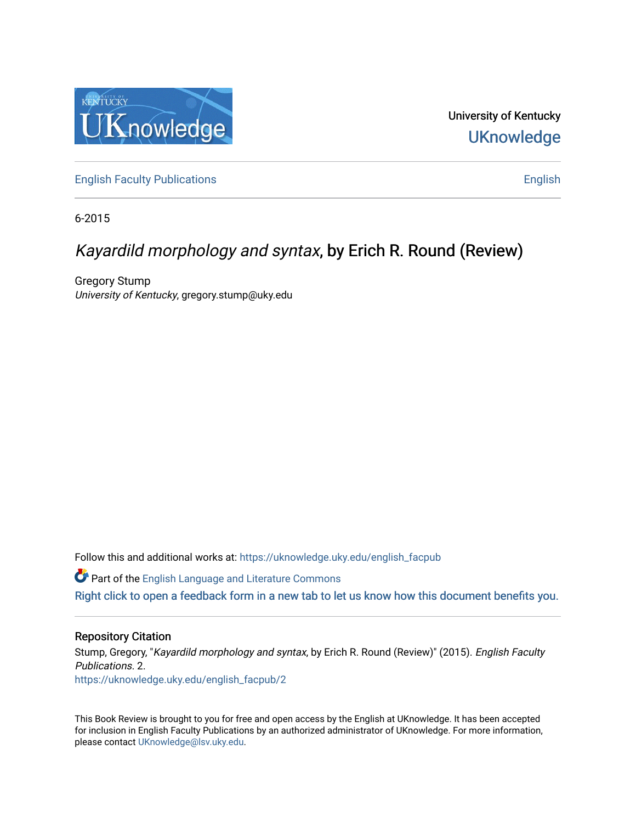

University of Kentucky **UKnowledge** 

[English Faculty Publications](https://uknowledge.uky.edu/english_facpub) **English** English

6-2015

# Kayardild morphology and syntax, by Erich R. Round (Review)

Gregory Stump University of Kentucky, gregory.stump@uky.edu

Follow this and additional works at: [https://uknowledge.uky.edu/english\\_facpub](https://uknowledge.uky.edu/english_facpub?utm_source=uknowledge.uky.edu%2Fenglish_facpub%2F2&utm_medium=PDF&utm_campaign=PDFCoverPages) 

 $\bullet$  Part of the [English Language and Literature Commons](http://network.bepress.com/hgg/discipline/455?utm_source=uknowledge.uky.edu%2Fenglish_facpub%2F2&utm_medium=PDF&utm_campaign=PDFCoverPages)

[Right click to open a feedback form in a new tab to let us know how this document benefits you.](https://uky.az1.qualtrics.com/jfe/form/SV_9mq8fx2GnONRfz7)

## Repository Citation

Stump, Gregory, "Kayardild morphology and syntax, by Erich R. Round (Review)" (2015). English Faculty Publications. 2. [https://uknowledge.uky.edu/english\\_facpub/2](https://uknowledge.uky.edu/english_facpub/2?utm_source=uknowledge.uky.edu%2Fenglish_facpub%2F2&utm_medium=PDF&utm_campaign=PDFCoverPages) 

This Book Review is brought to you for free and open access by the English at UKnowledge. It has been accepted for inclusion in English Faculty Publications by an authorized administrator of UKnowledge. For more information, please contact [UKnowledge@lsv.uky.edu.](mailto:UKnowledge@lsv.uky.edu)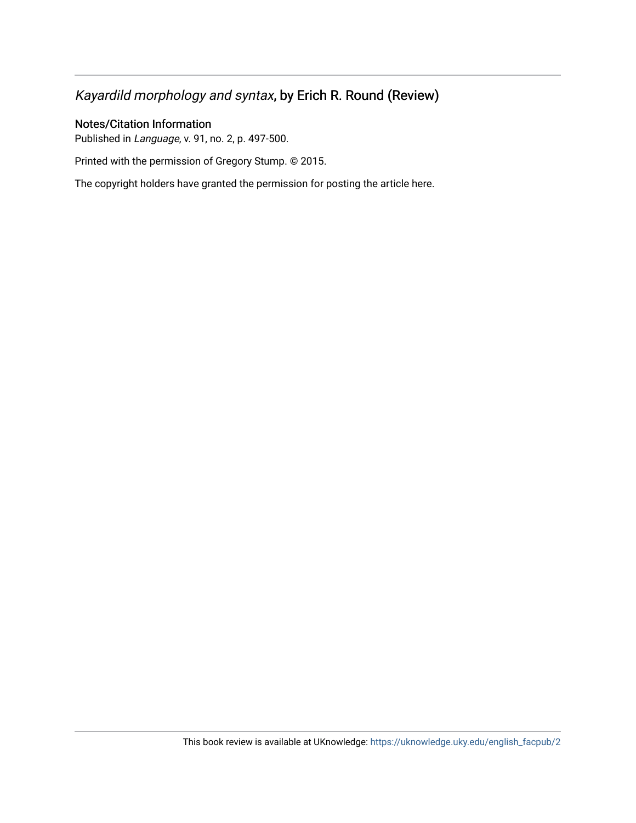## Kayardild morphology and syntax, by Erich R. Round (Review)

## Notes/Citation Information

Published in Language, v. 91, no. 2, p. 497-500.

Printed with the permission of Gregory Stump. © 2015.

The copyright holders have granted the permission for posting the article here.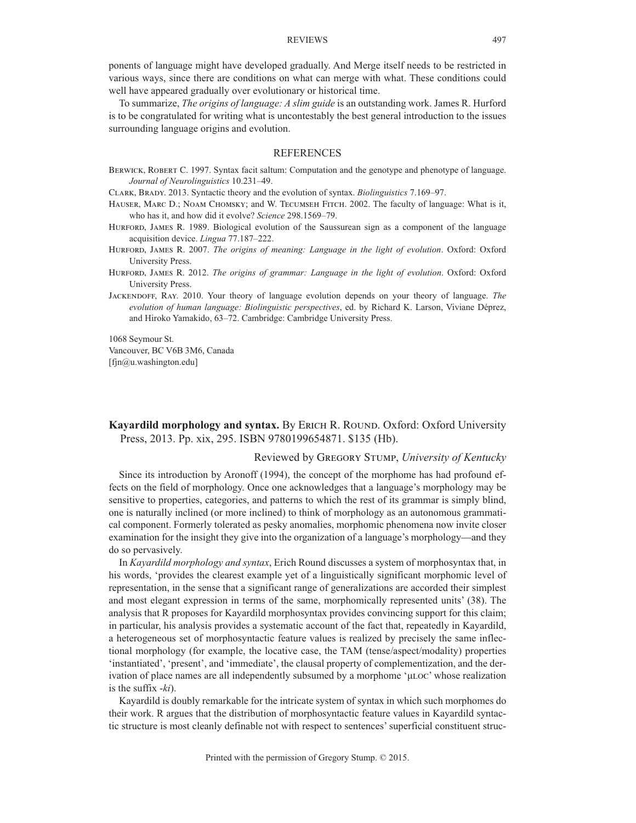#### REVIEWS 497

ponents of language might have developed gradually. And Merge itself needs to be restricted in various ways, since there are conditions on what can merge with what. These conditions could well have appeared gradually over evolutionary or historical time.

To summarize, *The origins of language: A slim guide* is an outstanding work. James R. Hurford is to be congratulated for writing what is uncontestably the best general introduction to the issues surrounding language origins and evolution.

#### REFERENCES

BERWICK, ROBERT C. 1997. Syntax facit saltum: Computation and the genotype and phenotype of language. *Journal of Neurolinguistics* 10.231–49.

Clark, Brady. 2013. Syntactic theory and the evolution of syntax. *Biolinguistics* 7.169–97.

- Hauser, Marc D.; Noam Chomsky; and W. Tecumseh Fitch. 2002. The faculty of language: What is it, who has it, and how did it evolve? *Science* 298.1569–79.
- Hurford, James R. 1989. Biological evolution of the Saussurean sign as a component of the language acquisition device. *Lingua* 77.187–222.
- Hurford, James R. 2007. *The origins of meaning: Language in the light of evolution*. Oxford: Oxford University Press.
- Hurford, James R. 2012. *The origins of grammar: Language in the light of evolution*. Oxford: Oxford University Press.
- Jackendoff, Ray. 2010. Your theory of language evolution depends on your theory of language. *The evolution of human language: Biolinguistic perspectives*, ed. by Richard K. Larson, Viviane Déprez, and Hiroko Yamakido, 63–72. Cambridge: Cambridge University Press.

1068 Seymour St. Vancouver, BC V6B 3M6, Canada  $[\text{fin}\textcircled{a}]$ u.washington.edu]

### **Kayardild morphology and syntax.** By ERICH R. ROUND. Oxford: Oxford University Press, 2013. Pp. xix, 295. ISBN 9780199654871. \$135 (Hb).

#### Reviewed by Gregory Stump, *University of Kentucky*

Since its introduction by Aronoff (1994), the concept of the morphome has had profound effects on the field of morphology. Once one acknowledges that a language's morphology may be sensitive to properties, categories, and patterns to which the rest of its grammar is simply blind, one is naturally inclined (or more inclined) to think of morphology as an autonomous grammatical component. Formerly tolerated as pesky anomalies, morphomic phenomena now invite closer examination for the insight they give into the organization of a language's morphology—and they do so pervasively.

In *Kayardild morphology and syntax*, Erich Round discusses a system of morphosyntax that, in his words, 'provides the clearest example yet of a linguistically significant morphomic level of representation, in the sense that a significant range of generalizations are accorded their simplest and most elegant expression in terms of the same, morphomically represented units' (38). The analysis that R proposes for Kayardild morphosyntax provides convincing support for this claim; in particular, his analysis provides a systematic account of the fact that, repeatedly in Kayardild, a heterogeneous set of morphosyntactic feature values is realized by precisely the same inflectional morphology (for example, the locative case, the TAM (tense/aspect/modality) properties 'instantiated', 'present', and 'immediate', the clausal property of complementization, and the derivation of place names are all independently subsumed by a morphome 'μloc' whose realization is the suffix -*ki*).

Kayardild is doubly remarkable for the intricate system of syntax in which such morphomes do their work. R argues that the distribution of morphosyntactic feature values in Kayardild syntactic structure is most cleanly definable not with respect to sentences' superficial constituent struc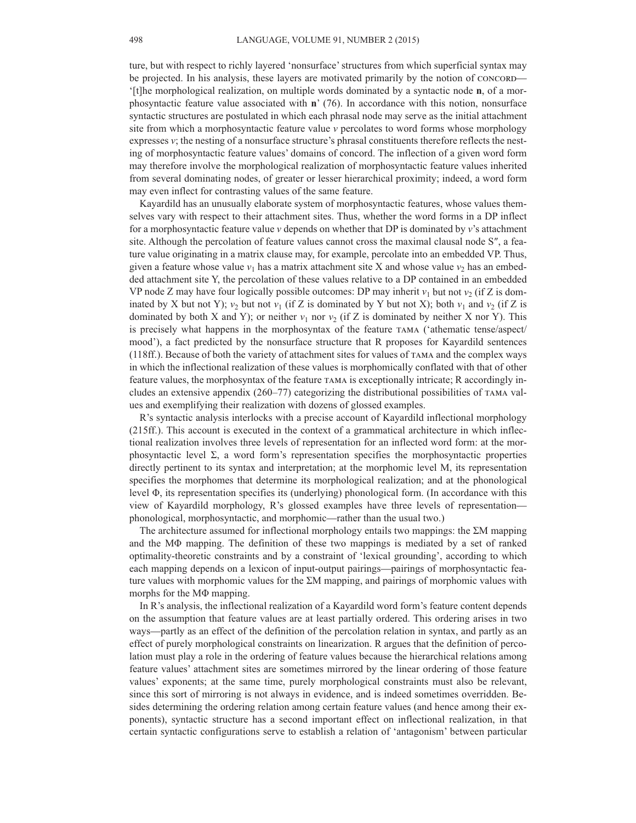ture, but with respect to richly layered 'nonsurface' structures from which superficial syntax may be projected. In his analysis, these layers are motivated primarily by the notion of CONCORD— '[t]he morphological realization, on multiple words dominated by a syntactic node **n**, of a morphosyntactic feature value associated with **n**' (76). In accordance with this notion, nonsurface syntactic structures are postulated in which each phrasal node may serve as the initial attachment site from which a morphosyntactic feature value *v* percolates to word forms whose morphology expresses *v*; the nesting of a nonsurface structure's phrasal constituents therefore reflects the nesting of morphosyntactic feature values' domains of concord. The inflection of a given word form may therefore involve the morphological realization of morphosyntactic feature values inherited from several dominating nodes, of greater or lesser hierarchical proximity; indeed, a word form may even inflect for contrasting values of the same feature.

Kayardild has an unusually elaborate system of morphosyntactic features, whose values themselves vary with respect to their attachment sites. Thus, whether the word forms in a DP inflect for a morphosyntactic feature value *v* depends on whether that DP is dominated by *v*'s attachment site. Although the percolation of feature values cannot cross the maximal clausal node S″, a feature value originating in a matrix clause may, for example, percolate into an embedded VP. Thus, given a feature whose value  $v_1$  has a matrix attachment site X and whose value  $v_2$  has an embedded attachment site Y, the percolation of these values relative to a DP contained in an embedded VP node Z may have four logically possible outcomes: DP may inherit  $v_1$  but not  $v_2$  (if Z is dominated by X but not Y);  $v_2$  but not  $v_1$  (if Z is dominated by Y but not X); both  $v_1$  and  $v_2$  (if Z is dominated by both X and Y); or neither  $v_1$  nor  $v_2$  (if Z is dominated by neither X nor Y). This is precisely what happens in the morphosyntax of the feature tama ('athematic tense/aspect/ mood'), a fact predicted by the nonsurface structure that R proposes for Kayardild sentences (118ff.). Because of both the variety of attachment sites for values of tama and the complex ways in which the inflectional realization of these values is morphomically conflated with that of other feature values, the morphosyntax of the feature tama is exceptionally intricate; R accordingly includes an extensive appendix (260–77) categorizing the distributional possibilities of tama values and exemplifying their realization with dozens of glossed examples.

R's syntactic analysis interlocks with a precise account of Kayardild inflectional morphology (215ff.). This account is executed in the context of a grammatical architecture in which inflectional realization involves three levels of representation for an inflected word form: at the morphosyntactic level Σ, a word form's representation specifies the morphosyntactic properties directly pertinent to its syntax and interpretation; at the morphomic level M, its representation specifies the morphomes that determine its morphological realization; and at the phonological level Φ, its representation specifies its (underlying) phonological form. (In accordance with this view of Kayardild morphology, R's glossed examples have three levels of representation phonological, morphosyntactic, and morphomic—rather than the usual two.)

The architecture assumed for inflectional morphology entails two mappings: the ΣM mapping and the MΦ mapping. The definition of these two mappings is mediated by a set of ranked optimality-theoretic constraints and by a constraint of 'lexical grounding', according to which each mapping depends on a lexicon of input-output pairings—pairings of morphosyntactic feature values with morphomic values for the  $\Sigma M$  mapping, and pairings of morphomic values with morphs for the MΦ mapping.

In R's analysis, the inflectional realization of a Kayardild word form's feature content depends on the assumption that feature values are at least partially ordered. This ordering arises in two ways—partly as an effect of the definition of the percolation relation in syntax, and partly as an effect of purely morphological constraints on linearization. R argues that the definition of percolation must play a role in the ordering of feature values because the hierarchical relations among feature values' attachment sites are sometimes mirrored by the linear ordering of those feature values' exponents; at the same time, purely morphological constraints must also be relevant, since this sort of mirroring is not always in evidence, and is indeed sometimes overridden. Besides determining the ordering relation among certain feature values (and hence among their exponents), syntactic structure has a second important effect on inflectional realization, in that certain syntactic configurations serve to establish a relation of 'antagonism' between particular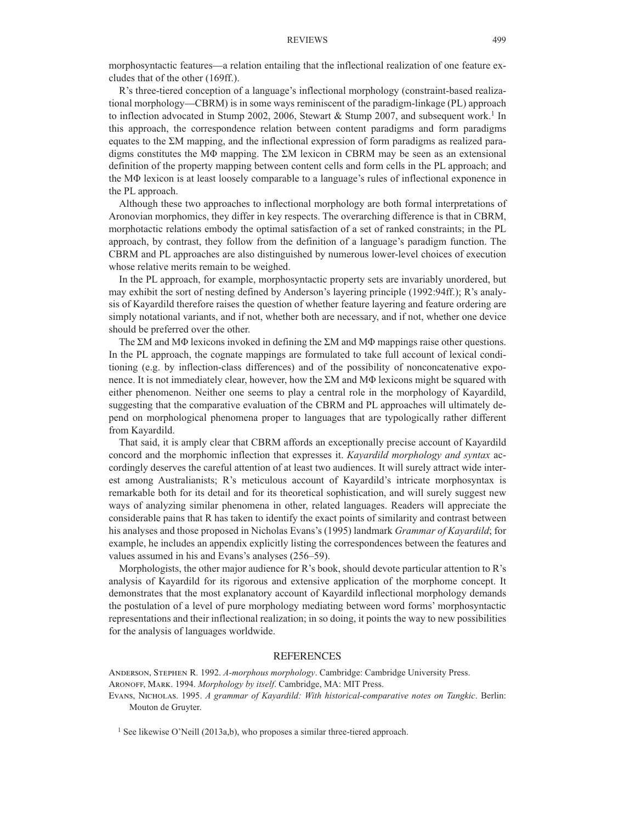morphosyntactic features—a relation entailing that the inflectional realization of one feature excludes that of the other (169ff.).

R's three-tiered conception of a language's inflectional morphology (constraint-based realizational morphology—CBRM) is in some ways reminiscent of the paradigm-linkage (PL) approach to inflection advocated in Stump 2002, 2006, Stewart & Stump 2007, and subsequent work.<sup>1</sup> In this approach, the correspondence relation between content paradigms and form paradigms equates to the ΣM mapping, and the inflectional expression of form paradigms as realized paradigms constitutes the MΦ mapping. The  $\Sigma M$  lexicon in CBRM may be seen as an extensional definition of the property mapping between content cells and form cells in the PL approach; and the MΦ lexicon is at least loosely comparable to a language's rules of inflectional exponence in the PL approach.

Although these two approaches to inflectional morphology are both formal interpretations of Aronovian morphomics, they differ in key respects. The overarching difference is that in CBRM, morphotactic relations embody the optimal satisfaction of a set of ranked constraints; in the PL approach, by contrast, they follow from the definition of a language's paradigm function. The CBRM and PL approaches are also distinguished by numerous lower-level choices of execution whose relative merits remain to be weighed.

In the PL approach, for example, morphosyntactic property sets are invariably unordered, but may exhibit the sort of nesting defined by Anderson's layering principle (1992:94ff.); R's analysis of Kayardild therefore raises the question of whether feature layering and feature ordering are simply notational variants, and if not, whether both are necessary, and if not, whether one device should be preferred over the other.

The ΣM and MΦ lexicons invoked in defining the ΣM and MΦ mappings raise other questions. In the PL approach, the cognate mappings are formulated to take full account of lexical conditioning (e.g. by inflection-class differences) and of the possibility of nonconcatenative exponence. It is not immediately clear, however, how the  $\Sigma M$  and  $M\Phi$  lexicons might be squared with either phenomenon. Neither one seems to play a central role in the morphology of Kayardild, suggesting that the comparative evaluation of the CBRM and PL approaches will ultimately depend on morphological phenomena proper to languages that are typologically rather different from Kayardild.

That said, it is amply clear that CBRM affords an exceptionally precise account of Kayardild concord and the morphomic inflection that expresses it. *Kayardild morphology and syntax* accordingly deserves the careful attention of at least two audiences. It will surely attract wide interest among Australianists; R's meticulous account of Kayardild's intricate morphosyntax is remarkable both for its detail and for its theoretical sophistication, and will surely suggest new ways of analyzing similar phenomena in other, related languages. Readers will appreciate the considerable pains that R has taken to identify the exact points of similarity and contrast between his analyses and those proposed in Nicholas Evans's (1995) landmark *Grammar of Kayardild*; for example, he includes an appendix explicitly listing the correspondences between the features and values assumed in his and Evans's analyses (256–59).

Morphologists, the other major audience for R's book, should devote particular attention to R's analysis of Kayardild for its rigorous and extensive application of the morphome concept. It demonstrates that the most explanatory account of Kayardild inflectional morphology demands the postulation of a level of pure morphology mediating between word forms' morphosyntactic representations and their inflectional realization; in so doing, it points the way to new possibilities for the analysis of languages worldwide.

#### REFERENCES

Anderson, Stephen R. 1992. *A-morphous morphology*. Cambridge: Cambridge University Press. Aronoff, Mark. 1994. *Morphology by itself*. Cambridge, MA: MIT Press.

<sup>1</sup> See likewise O'Neill (2013a,b), who proposes a similar three-tiered approach.

Evans, Nicholas. 1995. *A grammar of Kayardild: With historical-comparative notes on Tangkic*. Berlin: Mouton de Gruyter.